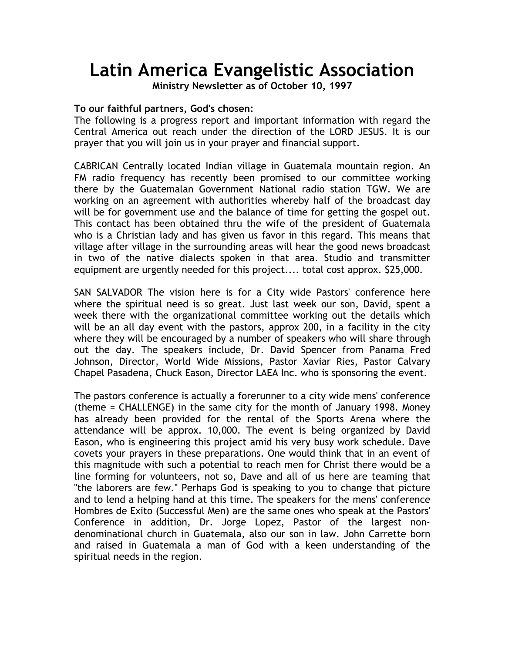## **Latin America Evangelistic Association**

**Ministry Newsletter as of October 10, 1997** 

## **To our faithful partners, God's chosen:**

The following is a progress report and important information with regard the Central America out reach under the direction of the LORD JESUS. It is our prayer that you will join us in your prayer and financial support.

CABRICAN Centrally located Indian village in Guatemala mountain region. An FM radio frequency has recently been promised to our committee working there by the Guatemalan Government National radio station TGW. We are working on an agreement with authorities whereby half of the broadcast day will be for government use and the balance of time for getting the gospel out. This contact has been obtained thru the wife of the president of Guatemala who is a Christian lady and has given us favor in this regard. This means that village after village in the surrounding areas will hear the good news broadcast in two of the native dialects spoken in that area. Studio and transmitter equipment are urgently needed for this project.... total cost approx. \$25,000.

SAN SALVADOR The vision here is for a City wide Pastors' conference here where the spiritual need is so great. Just last week our son, David, spent a week there with the organizational committee working out the details which will be an all day event with the pastors, approx 200, in a facility in the city where they will be encouraged by a number of speakers who will share through out the day. The speakers include, Dr. David Spencer from Panama Fred Johnson, Director, World Wide Missions, Pastor Xaviar Ries, Pastor Calvary Chapel Pasadena, Chuck Eason, Director LAEA Inc. who is sponsoring the event.

The pastors conference is actually a forerunner to a city wide mens' conference (theme = CHALLENGE) in the same city for the month of January 1998. Money has already been provided for the rental of the Sports Arena where the attendance will be approx. 10,000. The event is being organized by David Eason, who is engineering this project amid his very busy work schedule. Dave covets your prayers in these preparations. One would think that in an event of this magnitude with such a potential to reach men for Christ there would be a line forming for volunteers, not so, Dave and all of us here are teaming that "the laborers are few." Perhaps God is speaking to you to change that picture and to lend a helping hand at this time. The speakers for the mens' conference Hombres de Exito (Successful Men) are the same ones who speak at the Pastors' Conference in addition, Dr. Jorge Lopez, Pastor of the largest nondenominational church in Guatemala, also our son in law. John Carrette born and raised in Guatemala a man of God with a keen understanding of the spiritual needs in the region.